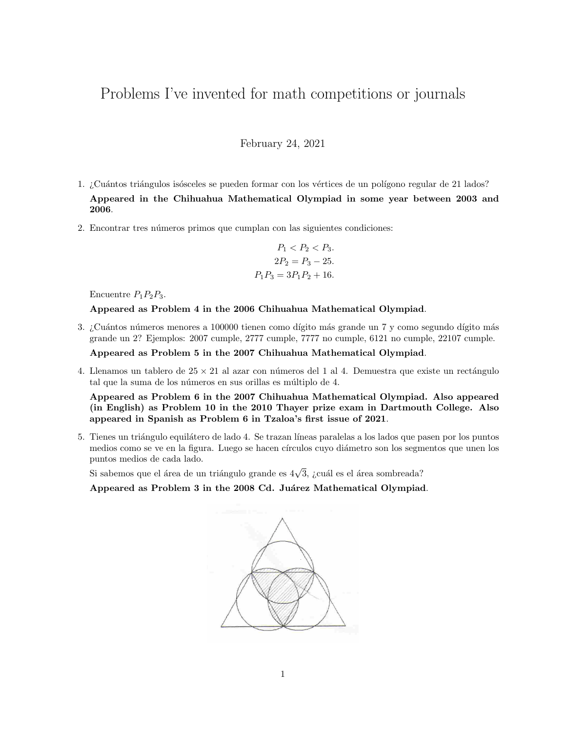# Problems I've invented for math competitions or journals

February 24, 2021

- 1. ¿Cuántos triángulos isósceles se pueden formar con los vértices de un polígono regular de 21 lados? Appeared in the Chihuahua Mathematical Olympiad in some year between 2003 and 2006.
- 2. Encontrar tres números primos que cumplan con las siguientes condiciones:

$$
P_1 < P_2 < P_3.
$$
\n
$$
2P_2 = P_3 - 25.
$$
\n
$$
P_1 P_3 = 3P_1 P_2 + 16.
$$

Encuentre  $P_1P_2P_3$ .

Appeared as Problem 4 in the 2006 Chihuahua Mathematical Olympiad.

3. ¿Cuántos números menores a 100000 tienen como dígito más grande un 7 y como segundo dígito más grande un 2? Ejemplos: 2007 cumple, 2777 cumple, 7777 no cumple, 6121 no cumple, 22107 cumple.

Appeared as Problem 5 in the 2007 Chihuahua Mathematical Olympiad.

4. Llenamos un tablero de  $25 \times 21$  al azar con números del 1 al 4. Demuestra que existe un rectángulo tal que la suma de los números en sus orillas es múltiplo de 4.

Appeared as Problem 6 in the 2007 Chihuahua Mathematical Olympiad. Also appeared (in English) as Problem 10 in the 2010 Thayer prize exam in Dartmouth College. Also appeared in Spanish as Problem 6 in Tzaloa's first issue of 2021.

5. Tienes un triángulo equilátero de lado 4. Se trazan líneas paralelas a los lados que pasen por los puntos medios como se ve en la figura. Luego se hacen círculos cuyo diámetro son los segmentos que unen los puntos medios de cada lado.

r marco momeo ao cama marc<br>Si sabemos que el área de un triángulo grande es 4√3, ¿cuál es el área sombreada?

Appeared as Problem 3 in the 2008 Cd. Juárez Mathematical Olympiad.

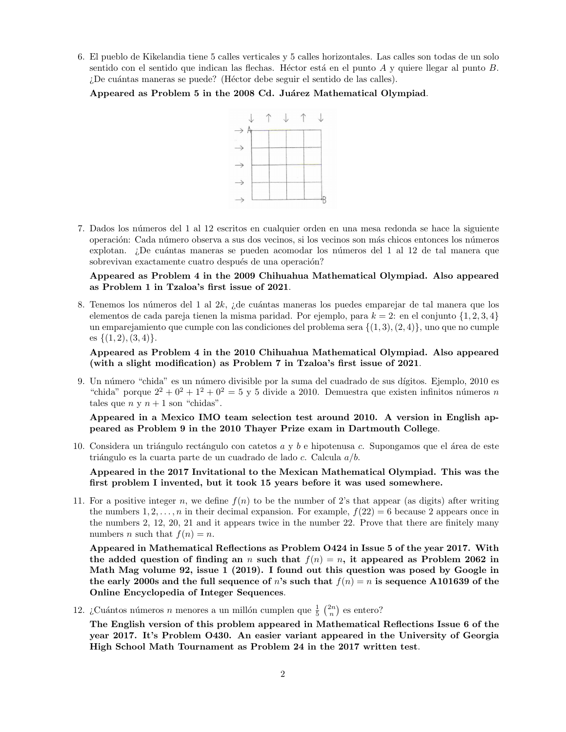6. El pueblo de Kikelandia tiene 5 calles verticales y 5 calles horizontales. Las calles son todas de un solo sentido con el sentido que indican las flechas. Héctor está en el punto A y quiere llegar al punto B. ¿De cuántas maneras se puede? (Héctor debe seguir el sentido de las calles).

Appeared as Problem 5 in the 2008 Cd. Juárez Mathematical Olympiad.



7. Dados los n´umeros del 1 al 12 escritos en cualquier orden en una mesa redonda se hace la siguiente operación: Cada número observa a sus dos vecinos, si los vecinos son más chicos entonces los números explotan. ¿De cuántas maneras se pueden acomodar los números del 1 al 12 de tal manera que sobrevivan exactamente cuatro después de una operación?

## Appeared as Problem 4 in the 2009 Chihuahua Mathematical Olympiad. Also appeared as Problem 1 in Tzaloa's first issue of 2021.

8. Tenemos los números del 1 al 2k, ¿de cuántas maneras los puedes emparejar de tal manera que los elementos de cada pareja tienen la misma paridad. Por ejemplo, para  $k = 2$ : en el conjunto  $\{1, 2, 3, 4\}$ un emparejamiento que cumple con las condiciones del problema sera  $\{(1, 3), (2, 4)\}$ , uno que no cumple es  $\{(1, 2), (3, 4)\}.$ 

Appeared as Problem 4 in the 2010 Chihuahua Mathematical Olympiad. Also appeared (with a slight modification) as Problem 7 in Tzaloa's first issue of 2021.

9. Un número "chida" es un número divisible por la suma del cuadrado de sus dígitos. Ejemplo, 2010 es "chida" porque  $2^2 + 0^2 + 1^2 + 0^2 = 5$  y 5 divide a 2010. Demuestra que existen infinitos números n tales que  $n \times n + 1$  son "chidas".

Appeared in a Mexico IMO team selection test around 2010. A version in English appeared as Problem 9 in the 2010 Thayer Prize exam in Dartmouth College.

10. Considera un triángulo rectángulo con catetos  $a \vee b$  e hipotenusa c. Supongamos que el área de este triángulo es la cuarta parte de un cuadrado de lado  $c$ . Calcula  $a/b$ .

Appeared in the 2017 Invitational to the Mexican Mathematical Olympiad. This was the first problem I invented, but it took 15 years before it was used somewhere.

11. For a positive integer n, we define  $f(n)$  to be the number of 2's that appear (as digits) after writing the numbers  $1, 2, \ldots, n$  in their decimal expansion. For example,  $f(22) = 6$  because 2 appears once in the numbers 2, 12, 20, 21 and it appears twice in the number 22. Prove that there are finitely many numbers *n* such that  $f(n) = n$ .

Appeared in Mathematical Reflections as Problem O424 in Issue 5 of the year 2017. With the added question of finding an n such that  $f(n) = n$ , it appeared as Problem 2062 in Math Mag volume 92, issue 1 (2019). I found out this question was posed by Google in the early 2000s and the full sequence of n's such that  $f(n) = n$  is sequence A101639 of the Online Encyclopedia of Integer Sequences.

12. ¿Cuántos números n menores a un millón cumplen que  $\frac{1}{5}$   $\binom{2n}{n}$  es entero?

The English version of this problem appeared in Mathematical Reflections Issue 6 of the year 2017. It's Problem O430. An easier variant appeared in the University of Georgia High School Math Tournament as Problem 24 in the 2017 written test.